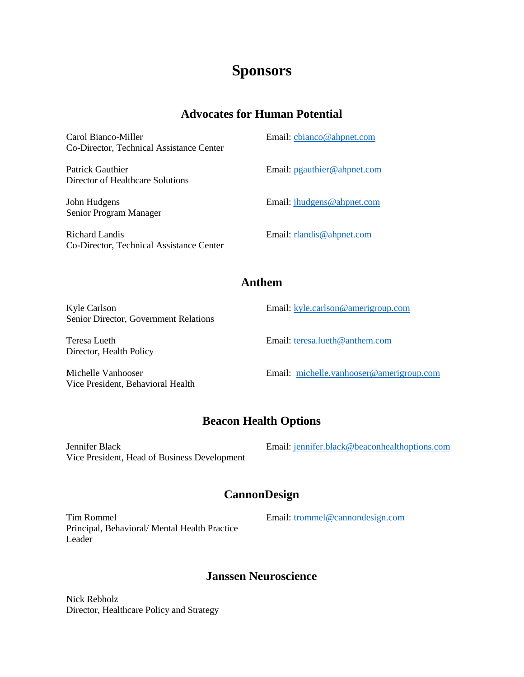# **Sponsors**

## **Advocates for Human Potential**

| Carol Bianco-Miller<br>Co-Director, Technical Assistance Center | Email: cbianco@ahpnet.com      |
|-----------------------------------------------------------------|--------------------------------|
| Patrick Gauthier<br>Director of Healthcare Solutions            | Email: $p$ gauthier@ahpnet.com |
| John Hudgens<br>Senior Program Manager                          | Email: jhudgens@ahpnet.com     |
| Richard Landis<br>Co-Director. Technical Assistance Center      | Email: $r$ landis@ahpnet.com   |

#### **Anthem**

| Kyle Carlson<br>Senior Director, Government Relations   | Email: kyle.carlson@amerigroup.com       |
|---------------------------------------------------------|------------------------------------------|
| Teresa Lueth<br>Director, Health Policy                 | Email: teresa.lueth@anthem.com           |
| Michelle Vanhooser<br>Vice President, Behavioral Health | Email: michelle.vanhooser@amerigroup.com |

## **Beacon Health Options**

Jennifer Black Vice President, Head of Business Development Email: [jennifer.black@beaconhealthoptions.com](mailto:jennifer.black@beaconhealthoptions.com)

### **CannonDesign**

Tim Rommel Principal, Behavioral/ Mental Health Practice Leader

Email: [trommel@cannondesign.com](mailto:trommel@cannondesign.com)

### **Janssen Neuroscience**

Nick Rebholz Director, Healthcare Policy and Strategy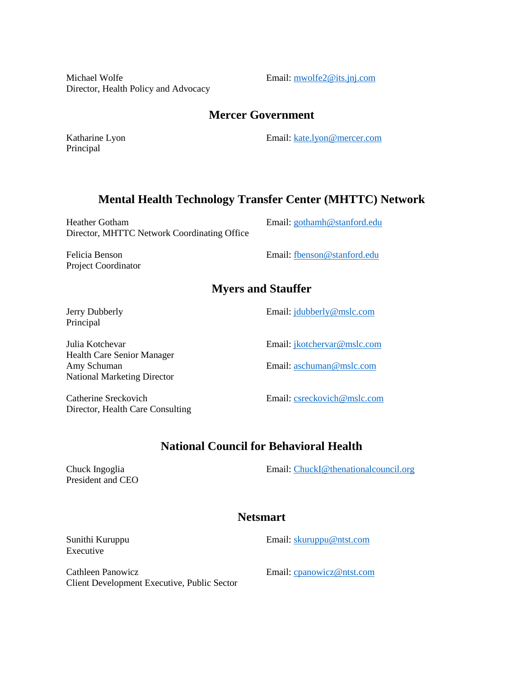Michael Wolfe Director, Health Policy and Advocacy Email: [mwolfe2@its.jnj.com](mailto:mwolfe2@its.jnj.com)

#### **Mercer Government**

Katharine Lyon Principal

Email: [kate.lyon@mercer.com](mailto:kate.lyon@mercer.com)

#### **Mental Health Technology Transfer Center (MHTTC) Network**

Heather Gotham Director, MHTTC Network Coordinating Office

Felicia Benson Project Coordinator Email: [gothamh@stanford.edu](mailto:gothamh@stanford.edu)

Email: [fbenson@stanford.edu](mailto:fbenson@stanford.edu)

#### **Myers and Stauffer**

Jerry Dubberly Principal

Julia Kotchevar Health Care Senior Manager Amy Schuman National Marketing Director

Catherine Sreckovich Director, Health Care Consulting Email: [jdubberly@mslc.com](mailto:jdubberly@mslc.com)

Email: [jkotchervar@mslc.com](mailto:jkotchervar@mslc.com)

Email: [aschuman@mslc.com](mailto:aschuman@mslc.com)

Email: [csreckovich@mslc.com](mailto:csreckovich@mslc.com)

### **National Council for Behavioral Health**

Chuck Ingoglia President and CEO Email: [ChuckI@thenationalcouncil.org](mailto:ChuckI@thenationalcouncil.org)

#### **Netsmart**

Sunithi Kuruppu Executive

Cathleen Panowicz Client Development Executive, Public Sector Email: [cpanowicz@ntst.com](mailto:cpanowicz@ntst.com)

Email: [skuruppu@ntst.com](mailto:skuruppu@ntst.com)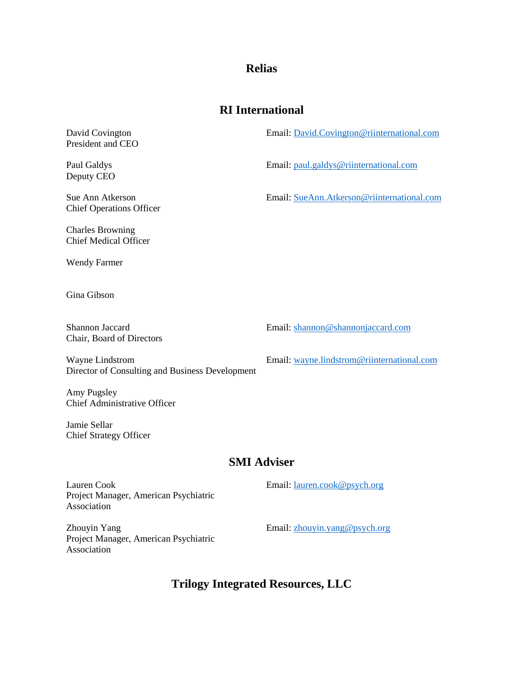#### **Relias**

#### **RI International**

David Covington President and CEO

Paul Galdys Deputy CEO

Sue Ann Atkerson Chief Operations Officer

Charles Browning Chief Medical Officer

Wendy Farmer

Gina Gibson

Shannon Jaccard Chair, Board of Directors Email: [shannon@shannonjaccard.com](mailto:shannon@shannonjaccard.com)

Wayne Lindstrom Director of Consulting and Business Development

Amy Pugsley Chief Administrative Officer

Jamie Sellar Chief Strategy Officer

#### **SMI Adviser**

Lauren Cook Project Manager, American Psychiatric Association Email: [lauren.cook@psych.org](mailto:lauren.cook@psych.org) Email: [zhouyin.yang@psych.org](mailto:zhouyin.yang@psych.org)

Zhouyin Yang Project Manager, American Psychiatric Association

**Trilogy Integrated Resources, LLC**

Email: [wayne.lindstrom@riinternational.com](mailto:wayne.lindstrom@riinternational.com)

Email: [paul.galdys@riinternational.com](mailto:paul.galdys@riinternational.com)

Email: [David.Covington@riinternational.com](mailto:David.Covington@riinternational.com)

Email: [SueAnn.Atkerson@riinternational.com](mailto:SueAnn.Atkerson@riinternational.com)